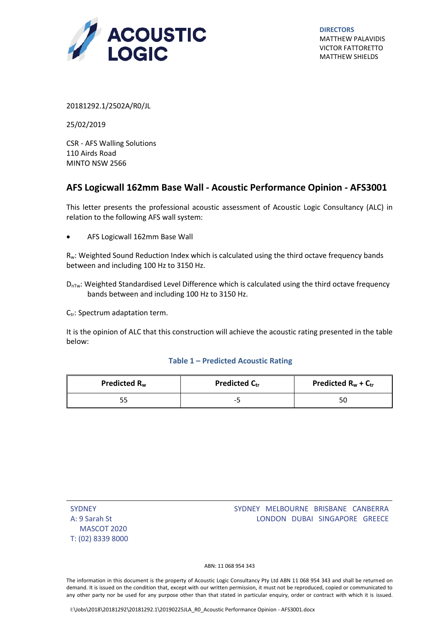

**DIRECTORS** MATTHEW PALAVIDIS VICTOR FATTORETTO MATTHEW SHIELDS

20181292.1/2502A/R0/JL

25/02/2019

CSR - AFS Walling Solutions 110 Airds Road MINTO NSW 2566

## $\overline{\mathbf{G}}$ **AFS Logicwall 162mm Base Wall - Acoustic Performance Opinion - AFS3001**

This letter presents the professional acoustic assessment of Acoustic Logic Consultancy (ALC) in relation to the following AFS wall system:

AFS Logicwall 162mm Base Wall

Rw: Weighted Sound Reduction Index which is calculated using the third octave frequency bands between and including 100 Hz to 3150 Hz.

 $D_{\text{nTw}}$ : Weighted Standardised Level Difference which is calculated using the third octave frequency bands between and including 100 Hz to 3150 Hz.

C<sub>tr</sub>: Spectrum adaptation term.

It is the opinion of ALC that this construction will achieve the acoustic rating presented in the table below:

## **Table 1 – Predicted Acoustic Rating**

| Predicted R <sub>w</sub> | <b>Predicted Ctr</b> | Predicted $R_w + C_{tr}$ |
|--------------------------|----------------------|--------------------------|
|                          | $-$                  |                          |

| <b>SYDNEY</b>     |
|-------------------|
| A: 9 Sarah St     |
| MASCOT 2020       |
| T: (02) 8339 8000 |

## SYDNEY MELBOURNE BRISBANE CANBERRA LONDON DUBAI SINGAPORE GREECE

ABN: 11 068 954 343

The information in this document is the property of Acoustic Logic Consultancy Pty Ltd ABN 11 068 954 343 and shall be returned on demand. It is issued on the condition that, except with our written permission, it must not be reproduced, copied or communicated to any other party nor be used for any purpose other than that stated in particular enquiry, order or contract with which it is issued.